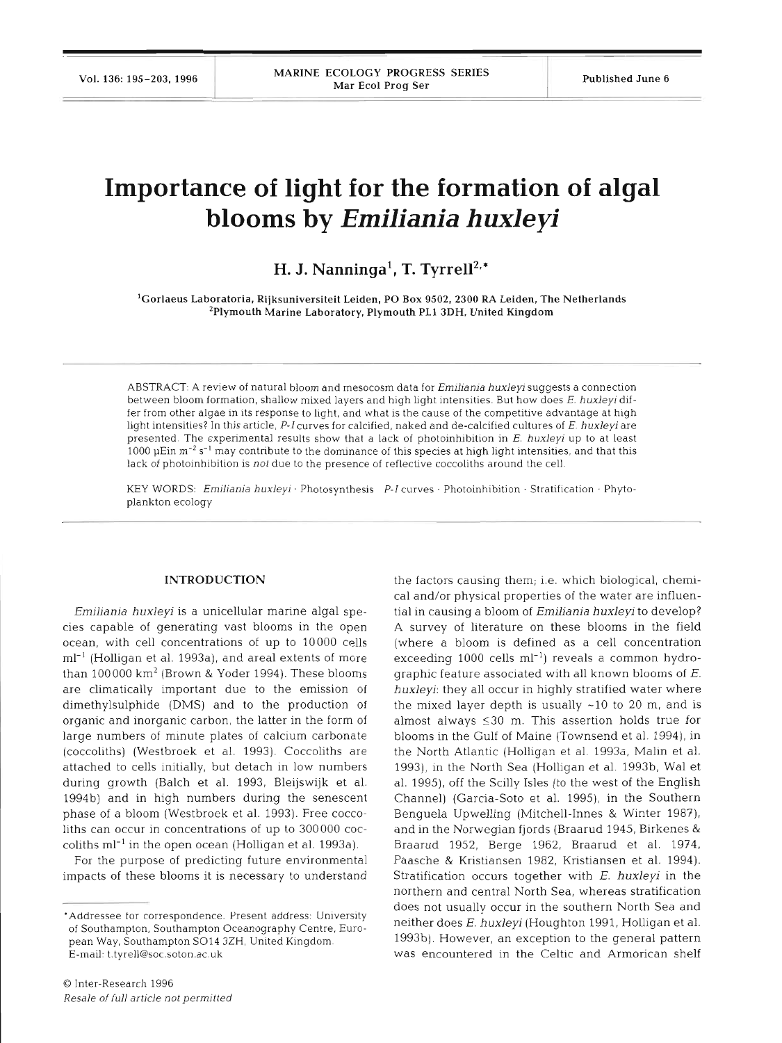# **Importance of light for the formation of algal blooms by** *Emiliania* **huxleyi**

# H. J. Nanninga<sup>1</sup>, T. Tyrrell<sup>2,\*</sup>

'Gorlaeus Laboratoria, Rijksuniversiteit Leiden, PO Box **9502, 2300** RA Leiden, The Netherlands 'Plymouth Marine Laboratory, Plymouth PL1 **3DH,** United Kingdom

ABSTRACT: A review of natural bloom and mesocosm data for *Emiliania huxleyi* suggests a connection between bloom formation, shallow mixed layers and high light intensities. But how does E. huxleyi differ from other algae in its response to light, and what is the cause of the competitive advantage at high light intensities? In this article, P-I curves for calcified, naked and de-calcified cultures of E. huxleyi are presented. The experimental results show that a lack of photoinhibition in E. huxleyi up to at least 1000 pEin m-2 **S-'** may contribute to the dominance of this species at high light intensities, and that this lack of photoinhibition is not due to the presence of reflective coccoliths around the cell.

KEY WORDS: Emiliania huxleyi · Photosynthesis P-I curves · Photoinhibition · Stratification · Phytoplankton ecology

## **INTRODUCTION**

*Emiliania huxleyi* is a unicellular marine algal species capable of generating vast blooms in the open ocean, with cell concentrations of up to 10000 cells  $ml<sup>-1</sup>$  (Holligan et al. 1993a), and areal extents of more than 100000  $km^2$  (Brown & Yoder 1994). These blooms are climatically important due to the emission of dimethylsulphide (DMS) and to the production of organic and inorganic carbon, the latter in the form of large numbers of minute plates of calcium carbonate (coccoliths) (Westbroek et al. 1993). Coccoliths are attached to cells initially, but detach in low numbers during growth (Balch et al. 1993, Bleijswijk et al. 1994b) and in high numbers during the senescent phase of a bloom (Westbroek et al. 1993). Free coccoliths can occur in concentrations of up to 300000 coccoliths  $ml^{-1}$  in the open ocean (Holligan et al. 1993a).

For the purpose of predicting future environmental impacts of these blooms it is necessary to understand

the factors causing them; i.e. which biological, chemical and/or physical properties of the water are influential in causing a bloom of *Emiliania huxleyi* to develop? *A* survey of literature on these blooms in the field (where a bloom is defined as a cell concentration exceeding 1000 cells ml-') reveals a common hydrographic feature associated with all known blooms of  $E$ . *huxleyi:* they all occur in highly stratified water where the mixed layer depth is usually  $\sim$ 10 to 20 m, and is almost always  $\leq 30$  m. This assertion holds true for blooms in the Gulf of Maine (Townsend et al. 1994), in the North Atlantic (Holligan et al. 1993a, Malin et al. 1993), in the North Sea (Holligan et al. 1993b, Wal et al. 1995), off the Scilly Isles (to the west of the English Channel) (Garcia-Soto et al. 1995), in the Southern Benguela Upwelling (Mitchell-Innes & Winter 1987), and in the Norwegian fjords (Braarud 1945, Birkenes & Braarud 1952, Berge 1962, Braarud et al. 1974, Paasche & Kristiansen 1982, Kristiansen et al. 1994). Stratification occurs together with E. *huxleyi* in the northern and central North Sea, whereas stratification does not usually occur in the southern North Sea and neither does E. *huxleyi* (Houghton 1991, Holligan et al. 1993b). However, an exception to the general pattern was encountered in the Celtic and Armorican shelf

<sup>&#</sup>x27;Addressee for correspondence. Present address: University of Southampton, Southampton Oceanography Centre, European Way, Southampton S014 3ZH, United Kingdom. E-mail: t.tyrell@soc.soton.ac uk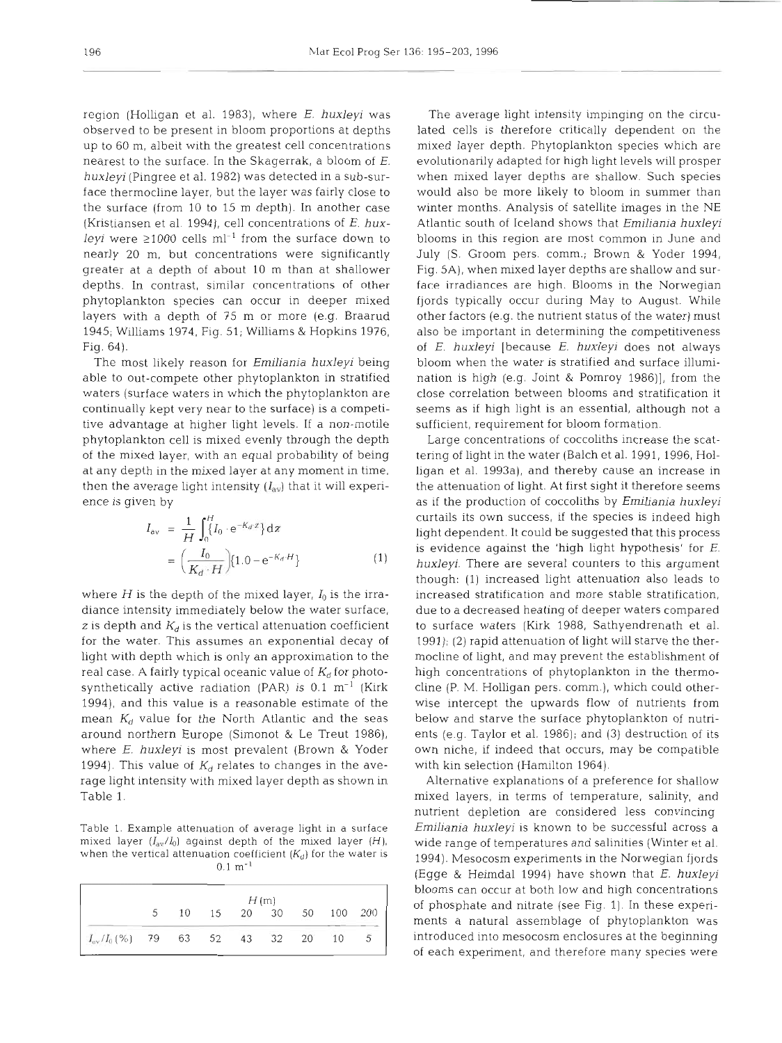region (Holligan et al. 1983), where *E. huxleyi* was observed to be present in bloom proportions at depths up to 60 m, albeit with the greatest cell concentrations nearest to the surface. In the Skagerrak, a bloom of *E. huxleyi* (Pingree et al. 1982) was detected in a sub-surface thermocline layer, but the layer was fairly close to the surface (from 10 to 15 m depth). In another case (Kristiansen et al. 1994), cell concentrations of E. *huxleyi* were  $\geq 1000$  cells ml<sup>-1</sup> from the surface down to nearly 20 m, but concentrations were significantly greater at a depth of about 10 m than at shallower depths. In contrast, similar concentrations of other phytoplankton species can occur in deeper mixed layers with a depth of 75 m or more (e.g. Braarud 1945; Williams 1974, Fig. 51; Williams & Hopkins 1976, Fig. 64).

The most likely reason for *Emiliania huxleyi* being able to out-compete other phytoplankton in stratified waters (surface waters in which the phytoplankton are continually kept very near to the surface) is a competitive advantage at higher light levels. If a non-motile phytoplankton cell is mixed evenly through the depth of the mixed layer, with an equal probability of being at any depth in the mixed layer at any moment in time, then the average light intensity  $(I_{\rm av})$  that it will experience is given by

$$
I_{av} = \frac{1}{H} \int_0^H I_0 \cdot e^{-K_d \cdot x} dZ
$$
  
= 
$$
\left(\frac{I_0}{K_d \cdot H}\right) [1.0 - e^{-K_d \cdot H}]
$$
 (1)

where  $H$  is the depth of the mixed layer,  $I_0$  is the irradiance intensity immediately below the water surface, z is depth and  $K_d$  is the vertical attenuation coefficient for the water. This assumes an exponential decay of light with depth which is only an approximation to the real case. A fairly typical oceanic value of  $K_d$  for photosynthetically active radiation (PAR) is  $0.1 \text{ m}^{-1}$  (Kirk 1994), and this value is a reasonable estimate of the mean  $K_d$  value for the North Atlantic and the seas around northern Europe (Simonot & Le Treut 1986), where *E. huxleyi* is most prevalent (Brown & Yoder 1994). This value of  $K_d$  relates to changes in the average light intensity with mixed layer depth as shown in Table 1.

Table l. Example attenuation of average light in a surface mixed layer  $(I_{av}/I_0)$  against depth of the mixed layer  $(H)$ , when the vertical attenuation coefficient  $(K_d)$  for the water is  $0.1 \; \mathrm{m}^{-1}$ 

|                                    | H(m) |  |             |  |  |  |            |   |
|------------------------------------|------|--|-------------|--|--|--|------------|---|
|                                    | 5    |  | 10 15 20 30 |  |  |  | 50 100 200 |   |
| $I_{av}/I_0(\%)$ 79 63 52 43 32 20 |      |  |             |  |  |  | 10         | 5 |

The average light intensity impinging on the circulated cells is therefore critically dependent on the mixed layer depth. Phytoplankton species which are evolutionarily adapted for hlgh light levels will prosper when mixed layer depths are shallow. Such species would also be more likely to bloom in summer than winter months. Analysis of satellite images in the NE Atlantic south of Iceland shows that *Emiliania huxleyi*  blooms in this region are most common in June and July (S. Groom pers, comm.; Brown & Yoder 1994, Fig. 5A), when mixed layer depths are shallow and surface irradiances are high. Blooms in the Norwegian fjords typically occur during May to August. While other factors (e.g. the nutrient status of the water) must also be important in determining the competitiveness of E. *huxleyi* [because *E. huxleyi* does not always bloom when the water is stratified and surface illumination is high (e.g. Joint & Pomroy 1986)], from the close correlation between blooms and stratification it seems as if high light is an essential, although not a sufficient, requirement for bloom formation.

Large concentrations of coccoliths increase the scattering of light in the water (Balch et al. 1991, 1996, Holligan et al. 1993a), and thereby cause an increase in the attenuation of light. At first sight it therefore seems as if the production of coccoliths by *Emiliania huxleyi*  curtails its own success, if the species is indeed high light dependent. It could be suggested that this process is evidence against the 'high light hypothesis' for E. *huxleyi.* There are several counters to this argument though: (1) increased light attenuation also leads to increased stratification and more stable stratification, due to a decreased heating of deeper waters compared to surface waters (Kirk 1988, Sathyendrenath et al. 2991); (2) rapid attenuation of light will starve the thermocline of light, and may prevent the establishment of high concentrations of phytoplankton in the thermocline (P. M. Holligan pers. comm.), which could otherwise intercept the upwards flow of nutrients from below and starve the surface phytoplankton of nutrients (e.g. Taylor et al. 1986); and (3) destruction of its own niche, if indeed that occurs, may be compatible with kin selection (Hamilton 1964).

Alternative explanations of a preference for shallow mixed layers, in terms of temperature, salinity, and nutrient depletion are considered less convincing *Emiliania huxleyi* is known to be successful across a wide range of temperatures and salinities (Winter et al. 1994). Mesocosm experiments in the Norwegian fjords (Egge & Heimdal 1994) have shown that *E. huxleyi*  blooms can occur at both low and high concentrations of phosphate and nitrate (see Fig. 1). In these experiments a natural assemblage of phytoplankton was introduced into mesocosm enclosures at the beginning of each experiment, and therefore many species were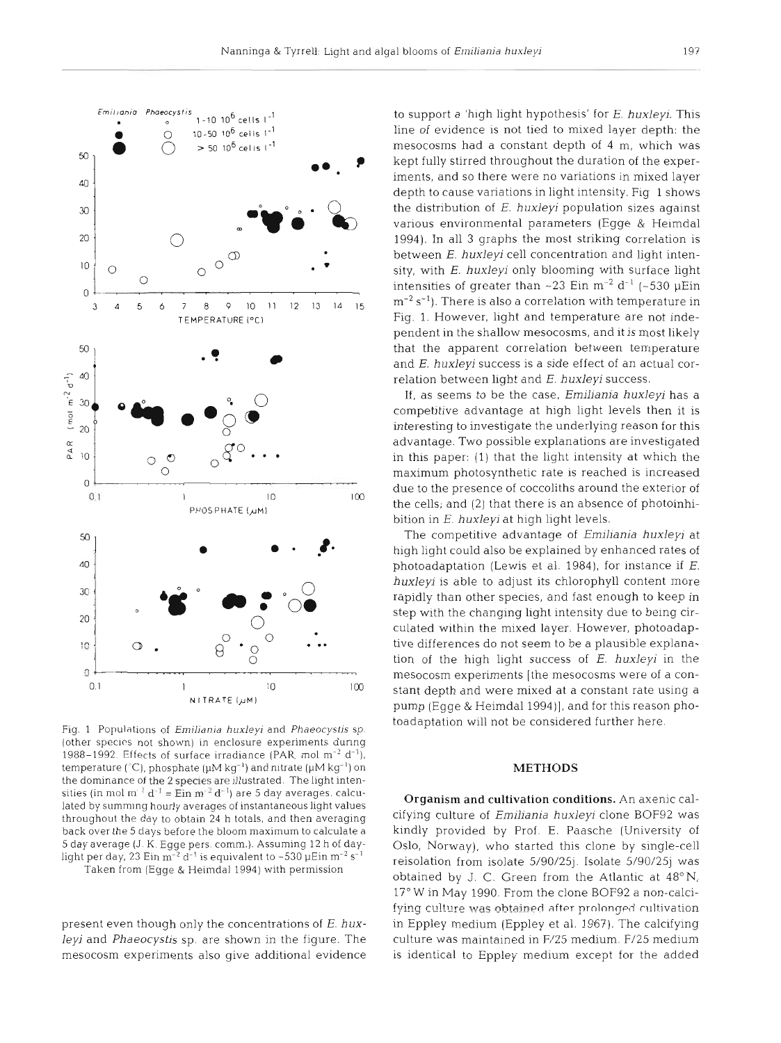

Fig. 1 Populations of **Emiliania** *huxleyi* and Phaeocystis sp. (other species not shown) in enclosure experiments during 1988–1992. Effects of surface irradiance (PAR, mol  $m^{-2}$  d<sup>-1</sup>), temperature (<sup>o</sup>C), phosphate (µM kg<sup>-1</sup>) and nitrate (µM kg<sup>-1</sup>) on the dominance of the 2 species are illustrated. The light intensities (in mol m<sup>-2</sup> d<sup>-1</sup> = Ein m<sup>-2</sup> d<sup>-1</sup>) are 5 day averages, calculated by summlng hourly averages of instantaneous light values throughout the day to obtain 24 h totals, and then averaging back over the 5 days before the bloom maximum to calculate a 5 day average (J. K. Egge pers. comm.). Assumlng 12 h of daylight per day, 23 Ein **m-2** d-' is equivalent to -530 pEin **m-2** s-'

Taken from (Egge & Heimdal 1994) with permission

present even though only the concentrations of E. *huxleyi* and *Phaeocystis* sp. are shown in the figure. The mesocosm experiments also give additional evidence

to support a 'high light hypothesis' for E. *huxleyj.* This line of evidence is not tied to mixed layer depth: the mesocosms had a constant depth of 4 m, which was kept fully stirred throughout the duration of the experiments, and so there were no variations in mixed layer depth to cause variations in light intensity. Fig. 1 shows the distribution of *E. huxleyi* population sizes against various environmental parameters (Egge & Heimdal 1994). In all **3** graphs the most striking correlation is between *E. huxleyi* cell concentration and light intensity, with *E. huxleyi* only blooming with surface light intensities of greater than  $\sim$  23 Ein m<sup>-2</sup> d<sup>-1</sup> ( $\sim$  530  $\mu$ Ein  $m^{-2}$  s<sup>-1</sup>). There is also a correlation with temperature in Fig. 1. However, light and temperature are not independent in the shallow mesocosms, and it is most likely that the apparent correlation between temperature and E. *huxleyi* success is a side effect of an actual correlation between light and E. *huxleyi* success.

If, as seems to be the case, *Emiliania huxleyi* has a competitive advantage at high light levels then it is interesting to investigate the underlying reason for this advantage. Two possible explanations are investigated in this paper: (1) that the light intensity at which the maximum photosynthetic rate is reached is increased due to the presence of coccoliths around the exterior of the cells; and (2) that there is an absence of photoinhibition in E. *huxleyi* at high light levels.

The competitive advantage of *Erniliania huxleyj* at high light could also be explained by enhanced rates of photoadaptation (Lewis et al. 1984), for instance if E. *huxleyi* is able to adjust its chlorophyll content more rapidly than other species, and fast enough to keep in step with the changing light intensity due to being circulated within the mixed layer. However, photoadaptive differences do not seem to be a plausible explanation of the high light success of E. *huxleyi* in the mesocosm experiments [the mesocosms were of a constant depth and were mixed at a constant rate using a pump (Egge & Heimdal 1994)], and for this reason photoadaptation will not be considered further here.

#### **METHO**

Organism and cultivation conditions. An axenic calcifying culture of *Emiliania huxleyi* clone BOF92 was kindly provided by Prof. E. Paasche (University of Oslo, Norway), who started this clone by single-cell reisolation from isolate 5/90/25j. Isolate 5/90/25j was obtained by J. C. Green from the Atlantic at  $48^{\circ}$  N, 17" W in May 1990. From the clone BOF92 a non-calcifying culture was obtained after prolonged cultivation. in Eppley medium (Eppley et al. 1967). The calcifying culture was maintained in F/25 medium. F/25 med is identical to Eppley medium except for the added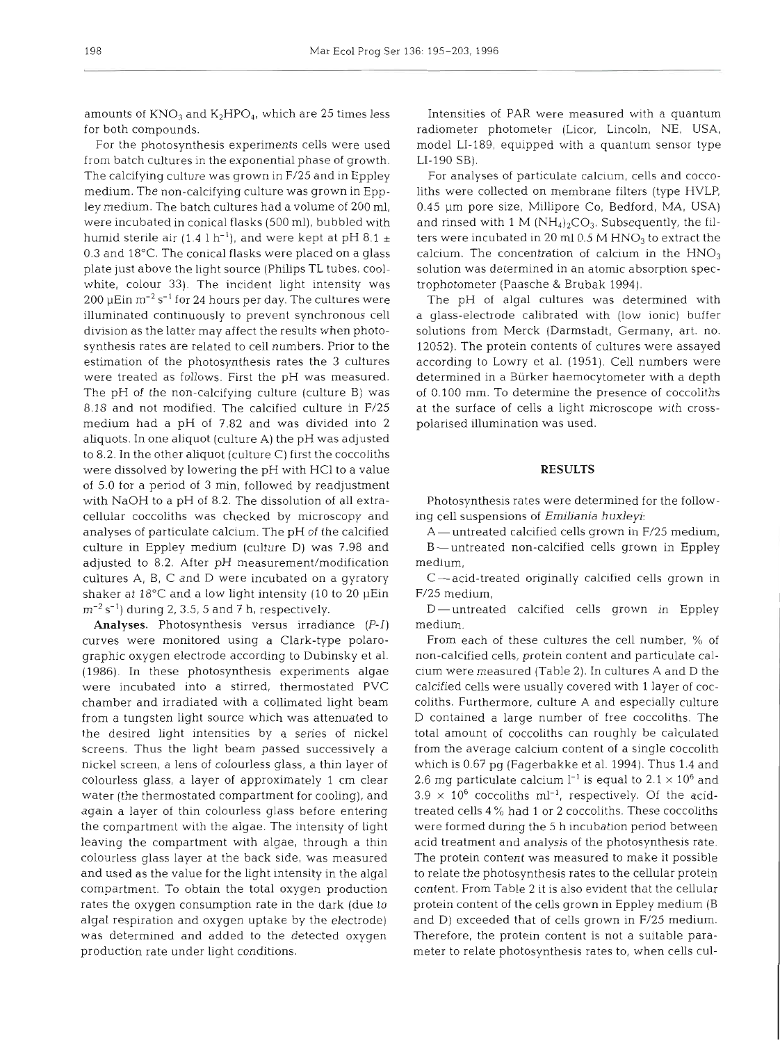amounts of  $KNO_3$  and  $K_2HPO_4$ , which are 25 times less for both compounds.

For the photosynthesis experiments cells were used from batch cultures in the exponential phase of growth. The calcifying culture was grown in F/25 and in Eppley medium. The non-calcifying culture was grown in Eppley medium. The batch cultures had a volume of 200 ml, were incubated in conical flasks (500 ml), bubbled with humid sterile air  $(1.4 \, 1 \, h^{-1})$ , and were kept at pH 8.1  $\pm$ 0.3 and 18°C. The conical flasks were placed on a glass plate just above the light source (Phllips TL tubes, coolwhite, colour 33). The incident light intensity was 200  $\mu$ Ein m<sup>-2</sup> s<sup>-1</sup> for 24 hours per day. The cultures were illuminated continuously to prevent synchronous cell division as the latter may affect the results when photosynthesis rates are related to cell numbers. Prior to the estimation of the photosynthesis rates the **3** cultures were treated as follows. First the pH was measured. The pH of the non-calcifying culture (culture B) was 8.18 and not modified. The calcified culture in F/25 medium had a pH of 7.82 and was divided into 2 aliquots. In one aliquot (culture A) the pH was adjusted to 8.2. In the other aliquot (culture C) first the coccoliths were dissolved by lowering the pH with HCl to a value of 5.0 for a period of 3 min, followed by readjustment with NaOH to a pH of 8.2. The dissolution of all extracellular coccoliths was checked by microscopy and analyses of particulate calcium. The pH of the calcified culture in Eppley medium (culture D) was 7.98 and adjusted to 8.2. After pH measurement/modification cultures A, B, C and D were incubated on a gyratory shaker at  $18^{\circ}$ C and a low light intensity (10 to 20  $\mu$ Ein **m-2** S-') during 2,3.5, 5 and 7 h, respectively.

**Analyses.** Photosynthesis versus irradiance (P-I) curves were monitored using a Clark-type polarographic oxygen electrode according to Dubinsky et al. (1986). In these photosynthesis experiments algae were incubated into a stirred, thermostated PVC chamber and irradiated with a collimated light beam from a tungsten light source which was attenuated to the desired light intensities by a series of nickel screens. Thus the light beam passed successively a nickel screen, a lens of colourless glass, a thin layer of colourless glass, a layer of approximately 1 cm clear water (the thermostated compartment for cooling), and again a layer of thin colourless glass before entering the compartment with the algae. The intensity of light leaving the compartment with algae, through a thin colourless glass layer at the back side, was measured and used as the value for the light intensity in the algal compartment. To obtain the total oxygen production rates the oxygen consumption rate in the dark (due to algal respiration and oxygen uptake by the electrode) was determined and added to the detected oxygen production rate under light conditions.

Intensities of PAR were measured with a quantum radiometer photometer (Licor, Lincoln, NE, USA, model LI-189, equipped with a quantum sensor type LI-190 SB).

For analyses of particulate calcium, cells and coccoliths were collected on membrane filters (type HVLP, 0.45 pm pore size, Millipore CO, Bedford, MA, USA) and rinsed with 1 M  $(NH_4)_2CO_3$ . Subsequently, the filters were incubated in 20 ml  $0.5 M HNO<sub>3</sub>$  to extract the calcium. The concentration of calcium in the  $HNO<sub>3</sub>$ solution was determined in an atomic absorption spectrophotometer (Paasche & Brubak 1994).

The pH of algal cultures was determined with a glass-electrode calibrated with (low ionic) buffer solutions from Merck (Darmstadt, Germany, art. no. 12052). The protein contents of cultures were assayed according to Lowry et al. (1951). Cell numbers were determined in a Biirker haemocytometer with a depth of 0.103 mm. To determine the presence of coccoliths at the surface of cells a light microscope with crosspolarised illumination was used.

# **RESULTS**

Photosynthesis rates were determined for the following cell suspensions of *Emiliania huxleyi* 

A-untreated calcified cells grown in F/25 medium, B-untreated non-calcified cells grown in Eppley medium,

 $C$  - acid-treated originally calcified cells grown in F/25 medium,

D-untreated calcified cells grown in Eppley medium.

From each of these cultures the cell number, % of non-calcified cells, protein content and particulate calcium were measured (Table 2). In cultures A and D the calcified cells were usually covered with 1 layer of coccoliths. Furthermore, culture A and especially culture D contained a large number of free coccoliths. The total amount of coccoliths can roughly be calculated from the average calcium content of a single coccolith which is 0.67 pg (Fagerbakke et al. 1994). Thus 1.4 and 2.6 mg particulate calcium  $l^{-1}$  is equal to 2.1  $\times$  10<sup>6</sup> and  $3.9 \times 10^6$  coccoliths ml<sup>-1</sup>, respectively. Of the acidtreated cells 4 % had 1 or 2 coccoliths. These coccoliths were formed during the 5 h incubation period between acid treatment and analysis of the photosynthesis rate. The protein content was measured to make it possible to relate the photosynthesis rates to the cellular protein content. From Table 2 it is also evident that the cellular protein content of the cells grown in Eppley medium (B and D) exceeded that of cells grown in F/25 medium. Therefore, the protein content is not a suitable parameter to relate photosynthesis rates to, when cells cul-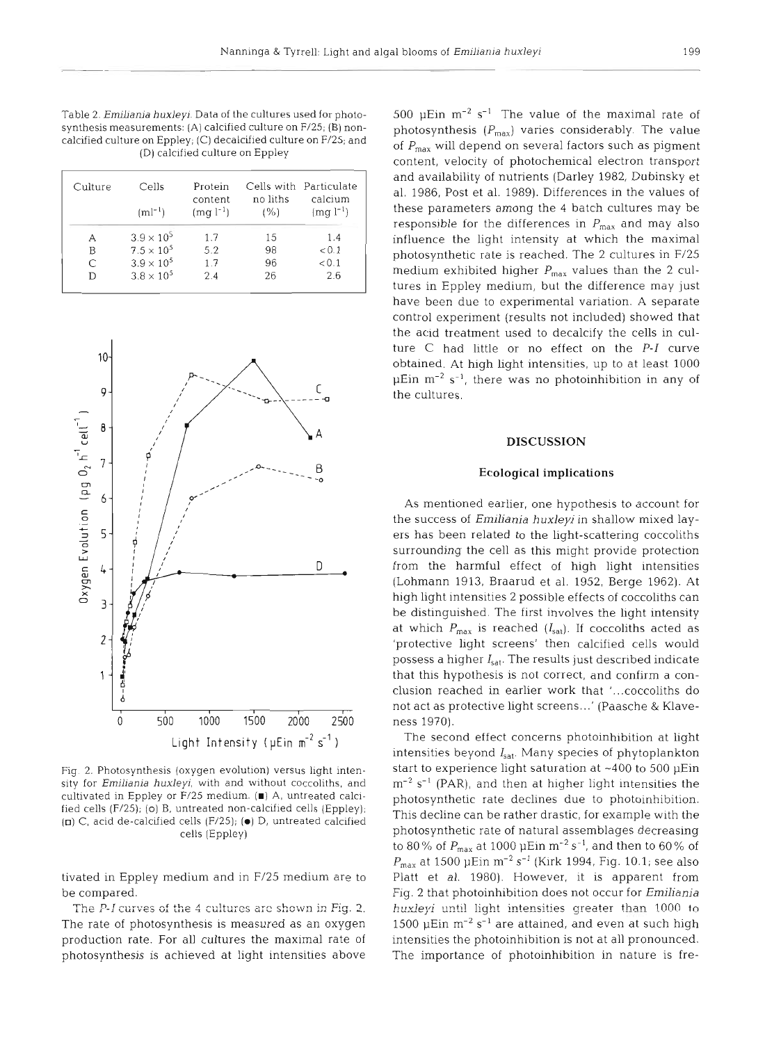Table 2. *Emilianja* **huxleyi.** Data of the cultures used for photosynthesis measurements: (A) calcified culture on F/25; (B) noncalcified culture on Eppley; (C) decalcified culture on F/25; and (D) calcified culture on Eppley

| Culture | Cells<br>$(ml^{-1})$ | Protein<br>content<br>$(mg l^{-1})$ | no liths<br>(%) | Cells with Particulate<br>calcium<br>$(mg l^{-1})$ |  |
|---------|----------------------|-------------------------------------|-----------------|----------------------------------------------------|--|
| А       | $3.9 \times 10^{5}$  | 1.7                                 | 15              | 1.4                                                |  |
| B       | $7.5 \times 10^{5}$  | 5.2                                 | 98              | < 0.1                                              |  |
| С       | $3.9 \times 10^{5}$  | 1.7                                 | 96              | < 0.1                                              |  |
| D       | $3.8 \times 10^{5}$  | 2.4                                 | 26              | 2.6                                                |  |



Fig. 2. Photosynthesis (oxygen evolution) versus light intensity for Emiliania huxleyi, with and without coccoliths, and cultivated in Eppley or F/25 medium. **(W)** A, untreated calcified cells (F/25); **(0)** B, untreated non-calcified cells (Eppley); **(U)** C, acid de-calcified cells (F/25); **(0)** D, untreated calcified cells (Eppley)

tivated in Eppley medium and in F/25 medium are to be compared.

The P-I curves of the 4 cultures are shown in Fig. 2. The rate of photosynthesis is measured as an oxygen production rate. For all cultures the maximal rate of photosynthesis is achieved at light intensities above

500 µEin  $m^{-2}$  s<sup>-1</sup> The value of the maximal rate of photosynthesis  $(P_{\text{max}})$  varies considerably. The value of  $P_{\text{max}}$  will depend on several factors such as pigment content, velocity of photochemical electron transport and availability of nutrients (Darley 1982, Dubinsky et al. 1986, Post et al. 1989). Differences in the values of these parameters among the 4 batch cultures may be responsible for the differences in  $P_{\text{max}}$  and may also influence the light intensity at which the maximal photosynthetic rate is reached. The 2 cultures in F/25 medium exhibited higher  $P_{\text{max}}$  values than the 2 cultures in Eppley medium, but the difference may just have been due to experimental variation, A separate control experiment (results not included) showed that the acid treatment used to decalcify the cells in culture C had little or no effect on the P-I curve obtained. At high light intensities, up to at least 1000  $\mu$ Ein m<sup>-2</sup> s<sup>-1</sup>, there was no photoinhibition in any of the cultures.

#### **DISCUSSION**

## **Ecological implications**

As mentioned earlier, one hypothesis to account for the success of *Emiliania* huxleyi in shallow mixed layers has been related to the light-scattering coccoliths surrounding the cell as this might provide protection from the harmful effect of high light intensities (Lohmann 1913, Braarud et al. 1952, Berge 1962). At high light intensities 2 possible effects of coccoliths can be distinguished. The first involves the light intensity at which  $P_{\text{max}}$  is reached  $(I_{\text{sat}})$ . If coccoliths acted as 'protective light screens' then calcified cells would possess a higher  $I_{sat}$ . The results just described indicate that this hypothesis is not correct, and confirm a conclusion reached in earlier work that '...coccoliths do not act as protective light screens. ..' (Paasche & Klaveness 1970).

The second effect concerns photoinhibition at light intensities beyond  $I_{sat}$ . Many species of phytoplankton start to experience light saturation at  $~1400$  to 500  $~\mu \text{Ein}$  $m^{-2}$  s<sup>-1</sup> (PAR), and then at higher light intensities the photosynthetic rate declines due to photoinhibition. This decline can be rather drastic, for example with the photosynthetic rate of natural assemblages decreasing to 80% of  $P_{\text{max}}$  at 1000  $\mu$ Ein m<sup>-2</sup> s<sup>-1</sup>, and then to 60% of  $P_{\text{max}}$  at 1500 µEin m<sup>-2</sup> s<sup>-1</sup> (Kirk 1994, Fig. 10.1; see also Platt et al. 1980). However, it is apparent from Fig. 2 that photoinhibition does not occur for *Emiliania huxleyi* until light intensities greater than 1000 to 1500  $\mu$ Ein m<sup>-2</sup> s<sup>-1</sup> are attained, and even at such high intensities the photoinhibition is not at all pronounced. The importance of photoinhibition in nature is fre-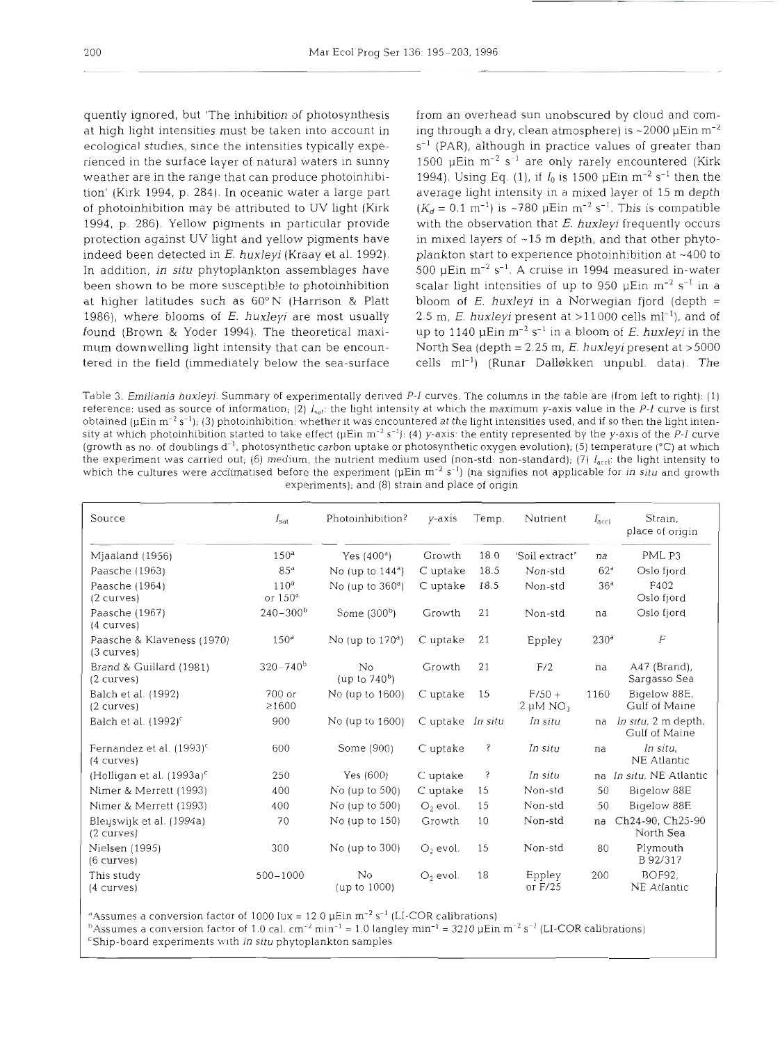quently ignored, but 'The inhibition of photosynthesis from an overhead sun unobscured by cloud and comat high light intensities must be taken into account in ing through a dry, clean atmosphere) is  $\sim$ 2000  $\mu$ Ein m<sup>-2</sup> ecological studies, since the intensities typically expe- $s^{-1}$  (PAR), although in practice values of greater than rienced in the surface layer of natural waters in sunny  $1500$  pEin m<sup>-2</sup> s<sup>-1</sup> are only rarely encountered (Kirk weather are in the range that can produce photoinhibi- 1994). Using Eq. (1), if  $I_0$  is 1500  $\mu$ Ein m<sup>-2</sup> s<sup>-1</sup> then the tion' (Kirk 1994, p. 284). In oceanic water a large part average light intensity in a mixed layer of 15 m depth of photoinhibition may be attributed to UV light (Kirk  $(K_d = 0.1 \text{ m}^{-1})$  is ~780 µEin m<sup>-2</sup> s<sup>-1</sup>. This is compatible 1994, p. 286). Yellow pigments in particular provide with the observation that E. huxleyi frequently occurs protection against UV light and yellow pigments have in mixed layers of  $~15$  m depth, and that other phytoindeed been detected in  $E$ . huxleyi (Kraay et al. 1992). plankton start to experience photoinhibition at  $\sim$ 400 to In addition, in situ phytoplankton assemblages have 500 µEin m<sup>-2</sup> s<sup>-1</sup>. A cruise in 1994 measured in-water been shown to be more susceptible to photoinhibition scalar light intensities of up to 950  $\mu$ Ein m<sup>-2</sup> s<sup>-1</sup> in a at higher latitudes such as  $60^{\circ}$ N (Harrison & Platt bloom of E. huxleyi in a Norwegian fjord (depth = 1986), where blooms of E. huxleyi are most usually  $2.5 \text{ m}$ , E. huxleyi present at >11000 cells ml<sup>-1</sup>), and of found (Brown & Yoder 1994). The theoretical maxi- up to 1140  $\mu$ Ein m<sup>-2</sup> s<sup>-1</sup> in a bloom of *E. huxleyi* in the mum downwelling light intensity that can be encoun-<br>North Sea (depth = 2.25 m, E. huxleyi present at >5000 tered in the field (immediately below the sea-surface cells  $ml^{-1}$ ) (Runar Dalløkken unpubl. data). The

Table 3. *Emiliania huxleyi*. Summary of experimentally derived P-I curves. The columns in the table are (from left to right): (1) reference: used as source of information; (2)  $I_{\text{sat}}$ : the light intensity at which the maximum y-axis value in the P-I curve is first obtained ( $\mu$ Ein m<sup>-2</sup> s<sup>-1</sup>); (3) photoinhibition: whether it was encountered at the light intensities used, and if so then the light intensity at which photoinhibition started to take effect ( $\mu$ Ein m<sup>-2</sup> s<sup>-1</sup>); (4) y-axis: the entity represented by the y-axis of the P-I curve (growth as no. of doublings  $d^{-1}$ , photosynthetic carbon uptake or photosynthetic oxygen evolution); (5) temperature (°C) at which the experiment was carried out; (6) medium, the nutrient medium used (non-std: non-standard); (7) *I<sub>acci</sub>*: the light intensity to which the cultures were acclimatised before the experiment ( $\mu$ Ein m<sup>-2</sup> s<sup>-1</sup>) (na signifies not applicable for *in situ* and growth experiments); and (8) strain and place of origin

| Source                                             | $I_{\rm sat}$                 | Photoinhibition?       | $v$ -axis        | Temp. | Nutrient                  | $I_{\text{acc1}}$ | Strain,<br>place of origin           |
|----------------------------------------------------|-------------------------------|------------------------|------------------|-------|---------------------------|-------------------|--------------------------------------|
| Mjaaland (1956)                                    | 150 <sup>a</sup>              | Yes $(400^4)$          | Growth           | 18.0  | 'Soil extract'            | na                | PML P3                               |
| Paasche (1963)                                     | 85 <sup>a</sup>               | No (up to $144^a$ )    | C uptake         | 18.5  | Non-std                   | 62 <sup>d</sup>   | Oslo fjord                           |
| Paasche (1964)<br>(2 curves)                       | 110 <sup>a</sup><br>or $150d$ | No (up to $360a$ )     | C uptake         | 18.5  | Non-std                   | 36 <sup>d</sup>   | F402<br>Oslo fjord                   |
| Paasche (1967)<br>(4 curves)                       | $240 - 300b$                  | Some $(300b)$          | Growth           | 21    | Non-std                   | na                | Oslo fjord                           |
| Paasche & Klaveness (1970)<br>(3 curves)           | 150 <sup>d</sup>              | No (up to $170a$ )     | C uptake         | 21    | Eppley                    | 230 <sup>a</sup>  | $\boldsymbol{F}$                     |
| Brand & Guillard (1981)<br>(2 curves)              | $320 - 740^b$                 | No<br>(up to $740^b$ ) | Growth           | 21    | F/2                       | na                | $A47$ (Brand),<br>Sargasso Sea       |
| Balch et al. (1992)<br>(2 curves)                  | 700 or<br>$\geq 1600$         | No (up to 1600)        | C uptake         | 15    | $F/50 +$<br>$2 \mu M NO3$ | 1160              | Bigelow 88E,<br>Gulf of Maine        |
| Balch et al. $(1992)^c$                            | 900                           | No (up to 1600)        | C uptake In situ |       | In situ                   | na                | In situ, 2 m depth,<br>Gulf of Maine |
| Fernandez et al. (1993) <sup>c</sup><br>(4 curves) | 600                           | Some (900)             | C uptake         | Ŝ     | In situ                   | na                | In situ,<br>NE Atlantic              |
| (Holligan et al. $(1993a)^c$                       | 250                           | Yes (600)              | C uptake         | ŝ     | In situ                   |                   | na In situ, NE Atlantic              |
| Nimer & Merrett (1993)                             | 400                           | No (up to $500$ )      | C uptake         | 15    | Non-std                   | 50                | Bigelow 88E                          |
| Nimer & Merrett (1993)                             | 400                           | No (up to $500$ )      | $O2$ evol.       | 15    | Non-std                   | 50                | Bigelow 88E                          |
| Bleijswijk et al. (1994a)<br>(2 curves)            | 70                            | No (up to $150$ )      | Growth           | 10    | Non-std                   | na                | Ch24-90, Ch25-90<br>North Sea        |
| Nielsen (1995)<br>(6 curves)                       | 300                           | $No$ (up to $300$ )    | $O2$ evol.       | 15    | Non-std                   | 80                | Plymouth<br>B 92/317                 |
| This study<br>(4 curves)                           | $500 - 1000$                  | No<br>(up to 1000)     | $O2$ evol.       | 18    | Eppley<br>or $F/25$       | 200               | <b>BOF92.</b><br>NE Atlantic         |

"Assumes a conversion factor of 1000 lux = 12.0  $\mu$ Ein m<sup>-2</sup> s<sup>-1</sup> (LI-COR calibrations)

<sup>b</sup>Assumes a conversion factor of 1.0 cal. cm<sup>-2</sup> min<sup>-1</sup> = 1.0 langley min<sup>-1</sup> = 3210 µEin m<sup>-2</sup> s<sup>-1</sup> (LI-COR calibrations) =Ship-board experiments w~th *in situ* phytoplankton samples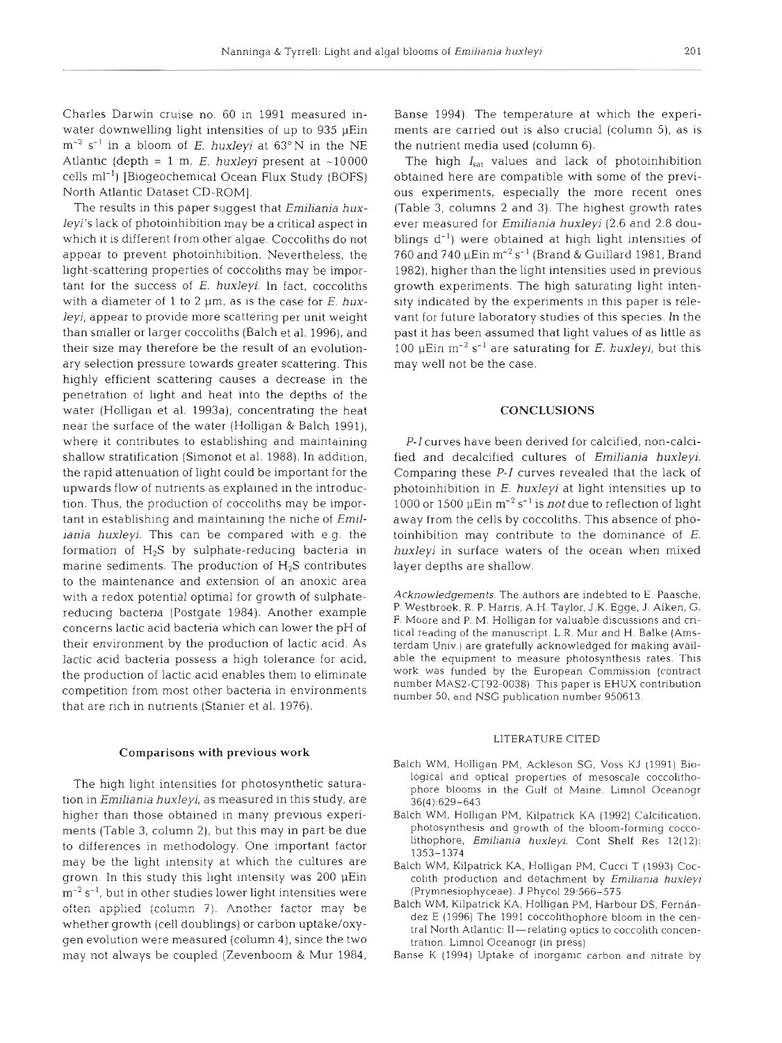Charles Darwin cruise no. 60 in 1991 measured inwater downwelling light intensities of up to 935 pEin  $m^{-2}$  s<sup>-1</sup> in a bloom of E. *huxleyi* at 63°N in the NE Atlantic (depth =  $1 \text{ m}$ , *E. huxleyi* present at  $\sim 10000$ cells ml-l) [Biogeochemical Ocean Flux Study (BOFS) North Atlantic Dataset CD-ROM].

The results in this paper suggest that *Emiliania huxleyi's* lack of photoinhibition may be a critical aspect in which it is different from other algae. Coccoliths do not appear to prevent photoinhibition. Nevertheless, the light-scattering properties of coccoliths may be important for the success of E. *huxleyi.* In fact, coccoliths with a diameter of 1 to 2  $\mu$ m, as is the case for *E*. hux*leyi,* appear to provide more scattering per unit weight than smaller or larger coccoliths (Balch et al. 1996), and their size may therefore be the result of an evolutionary selection pressure towards greater scattering. This highly efficient scattering causes a decrease in the penetration of light and heat into the depths of the water (Holligan et al. 1993a), concentrating the heat near the surface of the water (Holligan & Balch 1991), where it contributes to establishing and maintaining shallow stratification (Simonot et al. 1988). In addition, the rapid attenuation of light could be important for the upwards flow of nutrients as explained in the introduction. Thus, the production of coccoliths may be important in establishing and maintaining the niche of *Emiliania huxleyi.* This can be compared with e.g. the formation of  $H_2S$  by sulphate-reducing bacteria in marine sediments. The production of  $H_2S$  contributes to the maintenance and extension of an anoxic area with a redox potential optimal for growth of sulphatereducing bacteria (Postgate 1984). Another example concerns lactic acid bacteria which can lower the pH of their environment by the production of lactic acid. As lactic acid bacteria possess a high tolerance for acid, the production of lactic acid enables them to eliminate competition from most other bacteria in environments that are rich in nutrients (Stanier et al. 1976).

#### Comparisons with previous work

The high light intensities for photosynthetic saturation in *Emillania huxleyi,* as measured in this study, are higher than those obtained in many previous experiments (Table 3, column 2), but this may in part be due to differences in methodology. One important factor may be the light intensity at which the cultures are grown. In this study this light intensity was 200 pEin  $\rm m^{-2}$  s<sup>-1</sup>, but in other studies lower light intensities were often applied (column 7). Another factor may be whether growth (cell doublings) or carbon uptake/oxygen evolution were measured (column 4), since the two may not always be coupled (Zevenboom & Mur 1984,

Banse 1994) The temperature at which the experiments are carried out is also crucial (column 5), as is the nutrient media used (column 6).

The high  $I_{sat}$  values and lack of photoinhibition obtained here are compatible with some of the previous experiments, especially the more recent ones (Table **3,** columns 2 and 3). The highest growth rates ever measured for *Emiliania huxleyi* (2.6 and 2.8 doublings  $d^{-1}$ ) were obtained at high light intensities of 760 and 740  $\mu$ Ein m $^{-2}$  s $^{-1}$  (Brand & Guillard 1981, Brand 1982), higher than the light intensities used in previous growth experiments. The high saturating light intensity indicated by the experiments in this paper is relevant for future laboratory studies of this species. In the past it has been assumed that light values of as little as 100  $\mu$ Ein m<sup>-2</sup> s<sup>-1</sup> are saturating for *E. huxleyi*, but this may well not be the case.

# **CONCLUSIONS**

**P-l** curves have been derived for calcified, non-calcified and decalcified cultures of *Emiliania huxleyi.*  Comparing these **P-I** curves revealed that the lack of photoinhibition in E. *huxleyi* at light intensities up to 1000 or 1500  $\mu$ Ein m<sup>-2</sup> s<sup>-1</sup> is *not* due to reflection of light away from the cells by coccoliths. This absence of photoinhibition may contribute to the dominance of *E. huxleyi* in surface waters of the ocean when mixed layer depths are shallow.

Acknowledgements. The authors are indebted to E. Paasche, P. Westbroek. R. P. Harris, A.H. Taylor, **J.K.** Egge, J. Aiken. G. F. Moore and P. M. Holligan for valuable discussions and critical reading of the manuscript. L.R. Mur and H. Balke (Amsterdam Univ.) are gratefully acknowledged for making available the equipment to measure photosynthesis rates. This work was funded by the European Commission (contract number MAS2-CT92-0038). This paper is EHUX contribution number 50, and NSG publication number 950613.

#### LITERATURE CITED

- Balch WM, Holligan PM, Ackleson SG, Voss KJ (1991) Biological and optical properties of mesoscale coccolithophore blooms in the Gulf of Maine. Limnol Oceanogr 36(4).629-643
- Balch WM, Holligan PM. Kilpatrick KA (1992) Calcification. photosynthesis and growth of the bloom-forming coccolithophore, Emiliania huxleyi. Cont Shelf Res 12(12): 1353-1334
- Balch WM, Kilpatrick KA, Holligan PM, Cucci T (1993) Coccolith production and detachment by Emiliania huxleyi (Prymnesiophyceae). J Phycol 29:566-575
- Balch WM, Kilpatrick KA, Holligan PM, Harbour DS, Fernández E (1996) The 1991 coccolithophore bloom in the central North Atlantic: II-relating optics to coccolith concentration. Limnol Oceanogr (in press)
- Banse K (1994) Uptake of inorganic carbon and nitrate by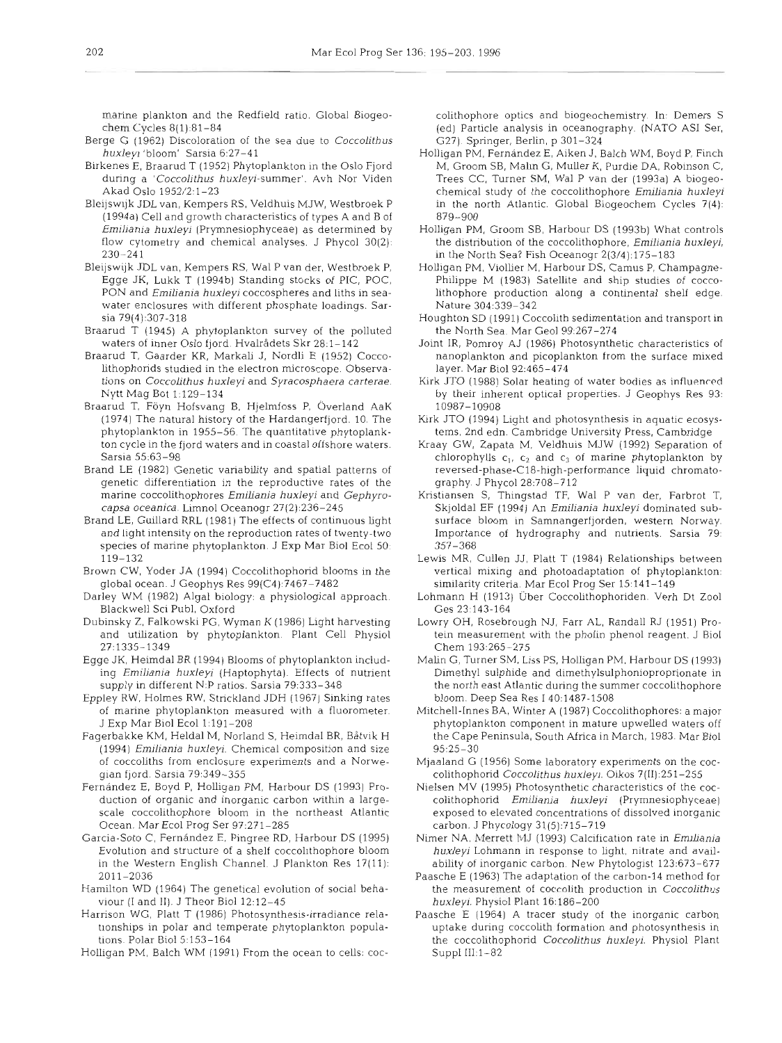marine plankton and the Redfield ratio. Global Biogeochem Cycles 8(1):81-84

- Berge G (1962) Discoloration of the sea due to *Coccolithus* (327). Springer, Berlin, p 301–324<br>Holligan PM, Fernández E, Aiken J, Balch WM, Boyd P, Finch huxleyi 'bloom' Sarsia 6:27-41
- Birkenes E, Braarud T (1952) Phytoplankton in the Oslo Fjord during a 'Coccolithus huxleyi-summer'. Avh Nor Viden Akad Oslo 1952/2:1-23
- Bleijswijk JDL van, Kempers RS, Veldhuis MJW, Westbroek P (1994a) Cell and growth characteristics of types A and B of  $$879-900$ <br>Emiliania huxleyi (Prymnesiophyceae) as determined by Holligan PM, Groom SB, Harbour DS (1993b) What controls Emiliania huxleyi (Prymnesiophyceae) as determined by flow cytometry and chemical analyses. J Phycol 30(2): 230-24 1
- Bleijswijk JDL van, Kempers RS, Wal P van der, Westbroek P, Egge JK, Lukk T (1994b) Standing stocks of PIC, POC, PON and Emiliania huxleyi coccospheres and liths in seawater enclosures with different phosphate load~ngs. Sarsia 79(4):307-318
- Braarud T (1945) A phytoplankton survey of the polluted the North Sea. Mar Geol 99:267–274<br>waters of inner Oslo fjord. Hvalrådets Skr 28:1–142 Joint IR, Pomroy AJ (1986) Photosynthetic characteristics of waters of inner Oslo fjord. Hvalrådets Skr 28:1-142
- Braarud T, Gaarder KR, Markali J, Nordli E (1952) Coccolithophorids studied in the electron microscope. Observa- layer. Mar Biol 92:465–474<br>tions on *Coccolithus huxleyi* and *Syracosphaera carterae.* Kirk JTO (1988) Solar heating of water bodies as influenced tions on Coccolithus huxleyi and Syracosphaera carterae. Nytt Mag Bot 1:129-134
- Braarud T. Föyn Hofsvang B. Hjelmfoss P. Överland AaK 19987–10908<br>(1974) The natural history of the Hardangerfjord. 10. The Kirk JTO (1994) Light and photosynthesis in aquatic ecosys-(1974) The natural history of the Hardangerfjord. 10. The phytoplankton in 1955-56. The quantitative phytoplankton cycle in the fjord waters and in coastal offshore waters. Kraay GW, Zapata M, Veldhuis MJW (1992) Separation of Sarsla 55:63-98
- Brand LE (1982) Genetic variability and spatial patterns of genetic differentiation in the reproductive rates of the staphy. J Phycol 28:708-712<br>
marine coccolithophores Emiliania huxleyi and Gephyro- Kristiansen S, Thingstad TF, Wal P van der, Farbrot T, marine coccolithophores Emiliania huxleyi and Gephyrocapsa oceanica. Limnol Oceanogr 27(2):236-245
- Brand LE, Guillard RRL (1981) The effects of continuous light and light intensity on the reproduction rates of twenty-two species of marine phytoplankton. J Exp Mar Biol Ecol 50: 119-132
- Brown CW. Yoder JA (1994) Coccolithophorid blooms in the global ocean. J Geophys Res 99(C4).7467-7482
- Blackwell Sci Publ, Oxford
- Dubinsky Z, Falkowski PG, Wyman K (1986) Light harvesting and utilization by phytoplankton. Plant Cell Physiol 27:1335-1349
- Egge JK, Heimdal BR (1994) Blooms of phytoplankton includ-<br>Malin G, Turner SM, Liss PS, Holligan PM, Harbour DS (1993) ing Emiliania huxleyi (Haptophyta). Effects of nutrient supply in different N:P ratios. Sarsia 79:333-348
- Eppley RW, Holmes RW, Strickland JDH (1967) Sinking rates J Exp Mar Biol Ecol 1-191-208
- Fagerbakke KM, Heldal M, Norland S, Heimdal BR, Båtvik H (1994) Emiliania huxleyi. Chemical composition and size gian fjord. Sarsia 79:349-355
- Fernández E, Boyd P, Holligan PM, Harbour DS (1993) Pro- Nielsen MV (1995) Photosynthetic characteristics of the cocduction of organic and inorganic carbon within a largescale coccolithophore bloom in the northeast Atlantic Ocean. Mar Ecol Prog Ser 97:271-285
- Garcia-Soto C, Fernández E, Pingree RD, Harbour DS (1995) Nimer NA, Merrett MJ (1993) Calcification rate in Emiliania Evolution and structure of a shelf coccolithophore bloom in the Western English Channel. J Plankton Res 17(11): 2011-2036
- Hamilton WD (1964) The genetical evolution of social behaviour (I and 11). J Theor Biol 12:12-45
- Harrison WG, Platt T (1986) Photosynthesis-irradiance rela-<br>
Paasche E (1964) A tracer study of the inorganic carbon carbon tionships in polar and temperate phytoplankton populations. Polar Biol 5:153-164
- Holligan PM, Balch WM (1991) From the ocean to cells: coc-

- bitthe<br>phone optics and nongeochemistry in Uemers's<br>capacities and non-<br>capacity. WATO ASI Set.<br>(2) Perticle analysis in oceanography (NATO ASI Set.<br>27) Perticle analysis in oceanography (NATO ASI Set.<br>17) Perticle analys
- 
- 
- 
- 
- 
- 
- 
- 
- 
- Darley WM (1982) Algal biology: a physiological approach.
	-
	-
	- of marine phytoplankton measured with a fluorometer.
	- of coccoliths from enclosure experiments and a Norwe-
		-
		-
		-
		-